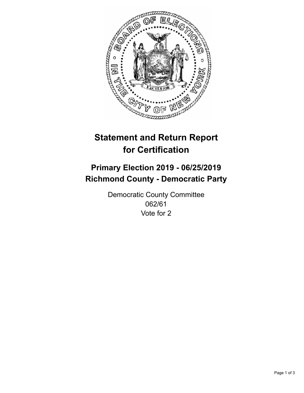

## **Statement and Return Report for Certification**

## **Primary Election 2019 - 06/25/2019 Richmond County - Democratic Party**

Democratic County Committee 062/61 Vote for 2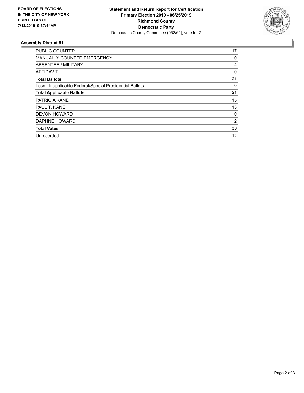

## **Assembly District 61**

| <b>PUBLIC COUNTER</b>                                    | 17       |
|----------------------------------------------------------|----------|
| <b>MANUALLY COUNTED EMERGENCY</b>                        | 0        |
| ABSENTEE / MILITARY                                      | 4        |
| AFFIDAVIT                                                | $\Omega$ |
| <b>Total Ballots</b>                                     | 21       |
| Less - Inapplicable Federal/Special Presidential Ballots | 0        |
| <b>Total Applicable Ballots</b>                          | 21       |
| <b>PATRICIA KANE</b>                                     | 15       |
| PAUL T. KANE                                             | 13       |
| <b>DEVON HOWARD</b>                                      | 0        |
| DAPHNE HOWARD                                            | 2        |
| <b>Total Votes</b>                                       | 30       |
| Unrecorded                                               | 12       |